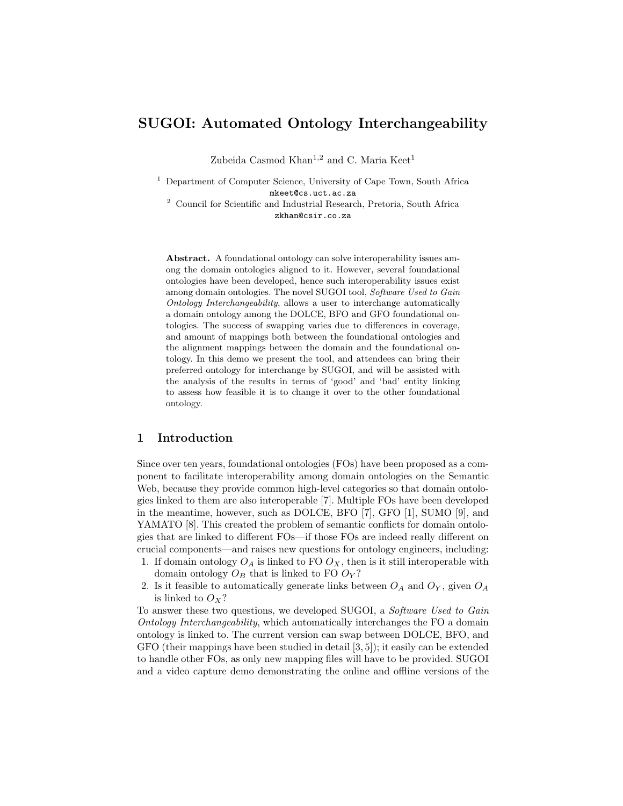# SUGOI: Automated Ontology Interchangeability

Zubeida Casmod Khan<sup>1,2</sup> and C. Maria Keet<sup>1</sup>

<sup>1</sup> Department of Computer Science, University of Cape Town, South Africa mkeet@cs.uct.ac.za

<sup>2</sup> Council for Scientific and Industrial Research, Pretoria, South Africa zkhan@csir.co.za

Abstract. A foundational ontology can solve interoperability issues among the domain ontologies aligned to it. However, several foundational ontologies have been developed, hence such interoperability issues exist among domain ontologies. The novel SUGOI tool, Software Used to Gain Ontology Interchangeability, allows a user to interchange automatically a domain ontology among the DOLCE, BFO and GFO foundational ontologies. The success of swapping varies due to differences in coverage, and amount of mappings both between the foundational ontologies and the alignment mappings between the domain and the foundational ontology. In this demo we present the tool, and attendees can bring their preferred ontology for interchange by SUGOI, and will be assisted with the analysis of the results in terms of 'good' and 'bad' entity linking to assess how feasible it is to change it over to the other foundational ontology.

### 1 Introduction

Since over ten years, foundational ontologies (FOs) have been proposed as a component to facilitate interoperability among domain ontologies on the Semantic Web, because they provide common high-level categories so that domain ontologies linked to them are also interoperable [7]. Multiple FOs have been developed in the meantime, however, such as DOLCE, BFO [7], GFO [1], SUMO [9], and YAMATO [8]. This created the problem of semantic conflicts for domain ontologies that are linked to different FOs—if those FOs are indeed really different on crucial components—and raises new questions for ontology engineers, including:

- 1. If domain ontology  $O_A$  is linked to FO  $O_X$ , then is it still interoperable with domain ontology  $O_B$  that is linked to FO  $O_Y$ ?
- 2. Is it feasible to automatically generate links between  $O_A$  and  $O_Y$ , given  $O_A$ is linked to  $O_X$ ?

To answer these two questions, we developed SUGOI, a Software Used to Gain Ontology Interchangeability, which automatically interchanges the FO a domain ontology is linked to. The current version can swap between DOLCE, BFO, and GFO (their mappings have been studied in detail [3, 5]); it easily can be extended to handle other FOs, as only new mapping files will have to be provided. SUGOI and a video capture demo demonstrating the online and offline versions of the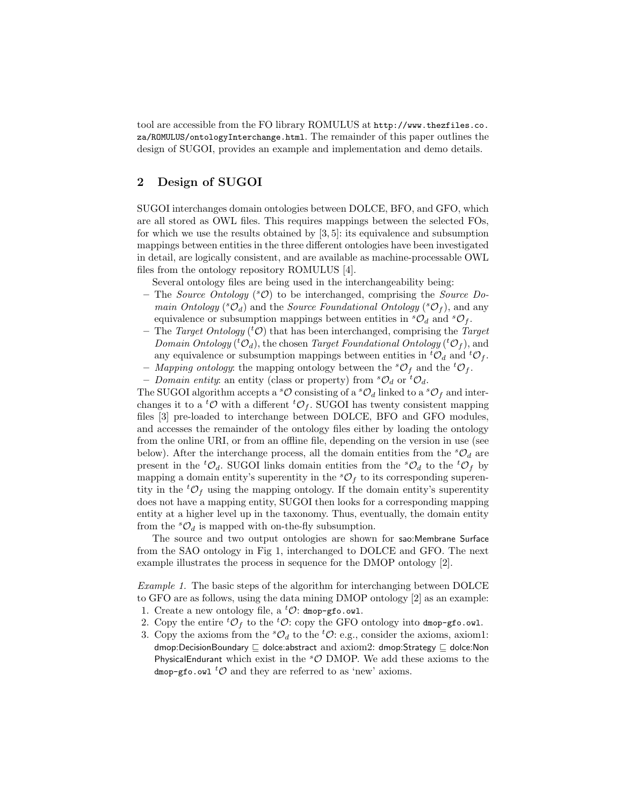tool are accessible from the FO library ROMULUS at http://www.thezfiles.co. za/ROMULUS/ontologyInterchange.html. The remainder of this paper outlines the design of SUGOI, provides an example and implementation and demo details.

## 2 Design of SUGOI

SUGOI interchanges domain ontologies between DOLCE, BFO, and GFO, which are all stored as OWL files. This requires mappings between the selected FOs, for which we use the results obtained by  $[3, 5]$ : its equivalence and subsumption mappings between entities in the three different ontologies have been investigated in detail, are logically consistent, and are available as machine-processable OWL files from the ontology repository ROMULUS [4].

Several ontology files are being used in the interchangeability being:

- The Source Ontology ( ${}^s\mathcal{O}$ ) to be interchanged, comprising the Source Domain Ontology ( ${}^s\mathcal{O}_d$ ) and the Source Foundational Ontology ( ${}^s\mathcal{O}_f$ ), and any equivalence or subsumption mappings between entities in  ${}^s\mathcal{O}_d$  and  ${}^s\mathcal{O}_f$ .
- The Target Ontology ( ${}^t$ O) that has been interchanged, comprising the Target Domain Ontology (<sup>t</sup> $\mathcal{O}_d$ ), the chosen *Target Foundational Ontology* (<sup>t</sup> $\mathcal{O}_f$ ), and any equivalence or subsumption mappings between entities in  ${}^t\mathcal{O}_d$  and  ${}^t\mathcal{O}_f$ .
- Mapping ontology: the mapping ontology between the  ${}^s\mathcal{O}_f$  and the  ${}^t\mathcal{O}_f$ .
- Domain entity: an entity (class or property) from  ${}^s\mathcal{O}_d$  or  ${}^t\mathcal{O}_d$ .

The SUGOI algorithm accepts a  ${}^s\mathcal{O}$  consisting of a  ${}^s\mathcal{O}_d$  linked to a  ${}^s\mathcal{O}_f$  and interchanges it to a <sup>t</sup>O with a different <sup>t</sup>O<sub>f</sub>. SUGOI has twenty consistent mapping files [3] pre-loaded to interchange between DOLCE, BFO and GFO modules, and accesses the remainder of the ontology files either by loading the ontology from the online URI, or from an offline file, depending on the version in use (see below). After the interchange process, all the domain entities from the  ${}^s\mathcal{O}_d$  are present in the <sup>t</sup> $\mathcal{O}_d$ . SUGOI links domain entities from the <sup>s</sup> $\mathcal{O}_d$  to the <sup>t</sup> $\mathcal{O}_f$  by mapping a domain entity's superentity in the  ${}^s\mathcal{O}_f$  to its corresponding superentity in the  ${}^t\mathcal{O}_f$  using the mapping ontology. If the domain entity's superentity does not have a mapping entity, SUGOI then looks for a corresponding mapping entity at a higher level up in the taxonomy. Thus, eventually, the domain entity from the  ${}^s\mathcal{O}_d$  is mapped with on-the-fly subsumption.

The source and two output ontologies are shown for sao:Membrane Surface from the SAO ontology in Fig 1, interchanged to DOLCE and GFO. The next example illustrates the process in sequence for the DMOP ontology [2].

Example 1. The basic steps of the algorithm for interchanging between DOLCE to GFO are as follows, using the data mining DMOP ontology [2] as an example:

- 1. Create a new ontology file, a  ${}^t\mathcal{O}$ : dmop-gfo.owl.
- 2. Copy the entire  ${}^tO_f$  to the  ${}^tO$ : copy the GFO ontology into dmop-gfo.owl.
- 3. Copy the axioms from the  ${}^s\mathcal{O}_d$  to the  ${}^t\mathcal{O}$ : e.g., consider the axioms, axiom1: dmop:DecisionBoundary  $\Box$  dolce:abstract and axiom2: dmop:Strategy  $\Box$  dolce:Non PhysicalEndurant which exist in the  ${}^s\mathcal{O}$  DMOP. We add these axioms to the dmop-gfo.owl <sup>t</sup>O and they are referred to as 'new' axioms.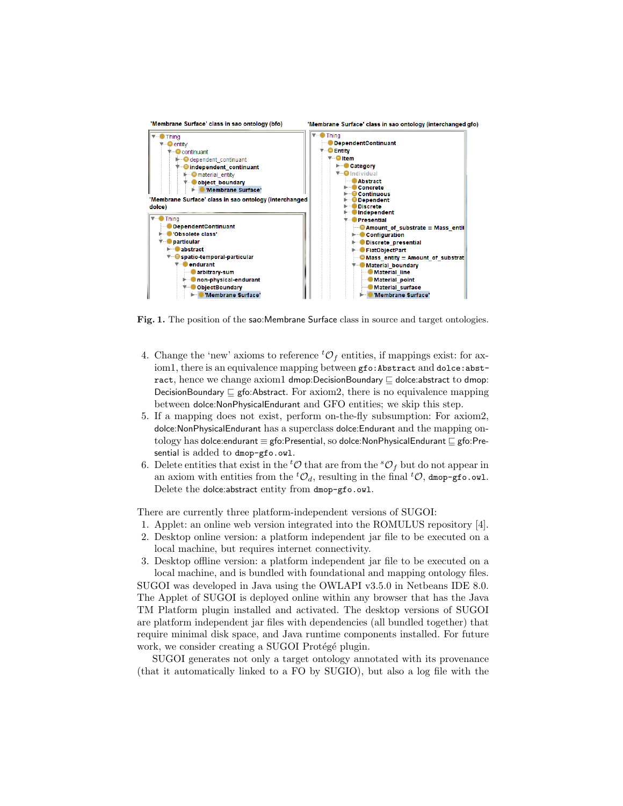

Fig. 1. The position of the sao:Membrane Surface class in source and target ontologies.

- 4. Change the 'new' axioms to reference  ${}^t\mathcal{O}_f$  entities, if mappings exist: for axiom1, there is an equivalence mapping between gfo: Abstract and dolce: abstract, hence we change axiom1 dmop:DecisionBoundary  $\sqsubseteq$  dolce:abstract to dmop: DecisionBoundary  $\sqsubseteq$  gfo:Abstract. For axiom2, there is no equivalence mapping between dolce:NonPhysicalEndurant and GFO entities; we skip this step.
- 5. If a mapping does not exist, perform on-the-fly subsumption: For axiom2, dolce:NonPhysicalEndurant has a superclass dolce:Endurant and the mapping ontology has dolce:endurant  $\equiv$  gfo:Presential, so dolce:NonPhysicalEndurant  $\sqsubseteq$  gfo:Presential is added to dmop-gfo.owl.
- 6. Delete entities that exist in the <sup>t</sup> $\mathcal O$  that are from the <sup>s</sup> $\mathcal O_f$  but do not appear in an axiom with entities from the  ${}^t\mathcal{O}_d$ , resulting in the final  ${}^t\mathcal{O}$ , dmop-gfo.owl. Delete the dolce:abstract entity from dmop-gfo.owl.

There are currently three platform-independent versions of SUGOI:

- 1. Applet: an online web version integrated into the ROMULUS repository [4].
- 2. Desktop online version: a platform independent jar file to be executed on a local machine, but requires internet connectivity.

3. Desktop offline version: a platform independent jar file to be executed on a local machine, and is bundled with foundational and mapping ontology files. SUGOI was developed in Java using the OWLAPI v3.5.0 in Netbeans IDE 8.0. The Applet of SUGOI is deployed online within any browser that has the Java TM Platform plugin installed and activated. The desktop versions of SUGOI are platform independent jar files with dependencies (all bundled together) that require minimal disk space, and Java runtime components installed. For future work, we consider creating a SUGOI Protégé plugin.

SUGOI generates not only a target ontology annotated with its provenance (that it automatically linked to a FO by SUGIO), but also a log file with the